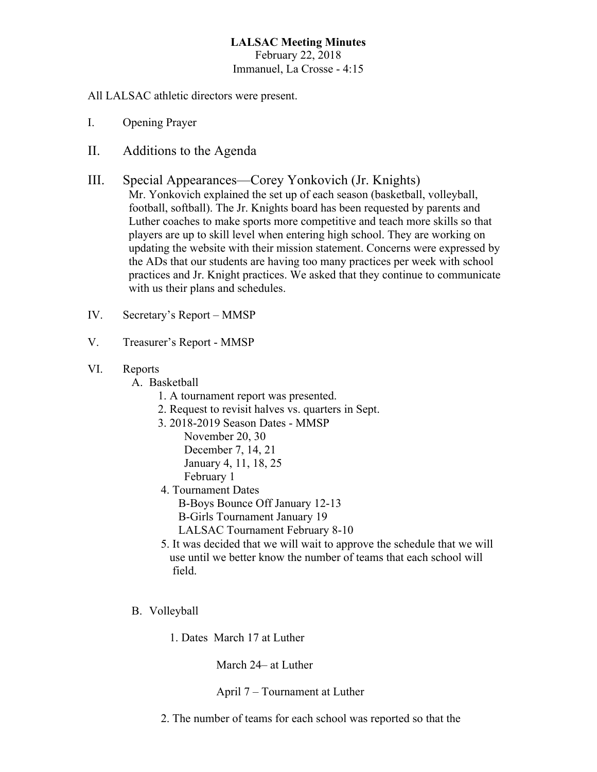## **LALSAC Meeting Minutes** February 22, 2018 Immanuel, La Crosse - 4:15

All LALSAC athletic directors were present.

- I. Opening Prayer
- II. Additions to the Agenda
- III. Special Appearances—Corey Yonkovich (Jr. Knights) Mr. Yonkovich explained the set up of each season (basketball, volleyball, football, softball). The Jr. Knights board has been requested by parents and Luther coaches to make sports more competitive and teach more skills so that players are up to skill level when entering high school. They are working on updating the website with their mission statement. Concerns were expressed by the ADs that our students are having too many practices per week with school practices and Jr. Knight practices. We asked that they continue to communicate with us their plans and schedules.
- IV. Secretary's Report MMSP
- V. Treasurer's Report MMSP
- VI. Reports

A. Basketball

- 1. A tournament report was presented.
- 2. Request to revisit halves vs. quarters in Sept.
- 3. 2018-2019 Season Dates MMSP
	- November 20, 30 December 7, 14, 21 January 4, 11, 18, 25 February 1
- 4. Tournament Dates B-Boys Bounce Off January 12-13 B-Girls Tournament January 19
	- LALSAC Tournament February 8-10
- 5. It was decided that we will wait to approve the schedule that we will use until we better know the number of teams that each school will field.
- B. Volleyball
	- 1. Dates March 17 at Luther

March 24– at Luther

April 7 – Tournament at Luther

2. The number of teams for each school was reported so that the